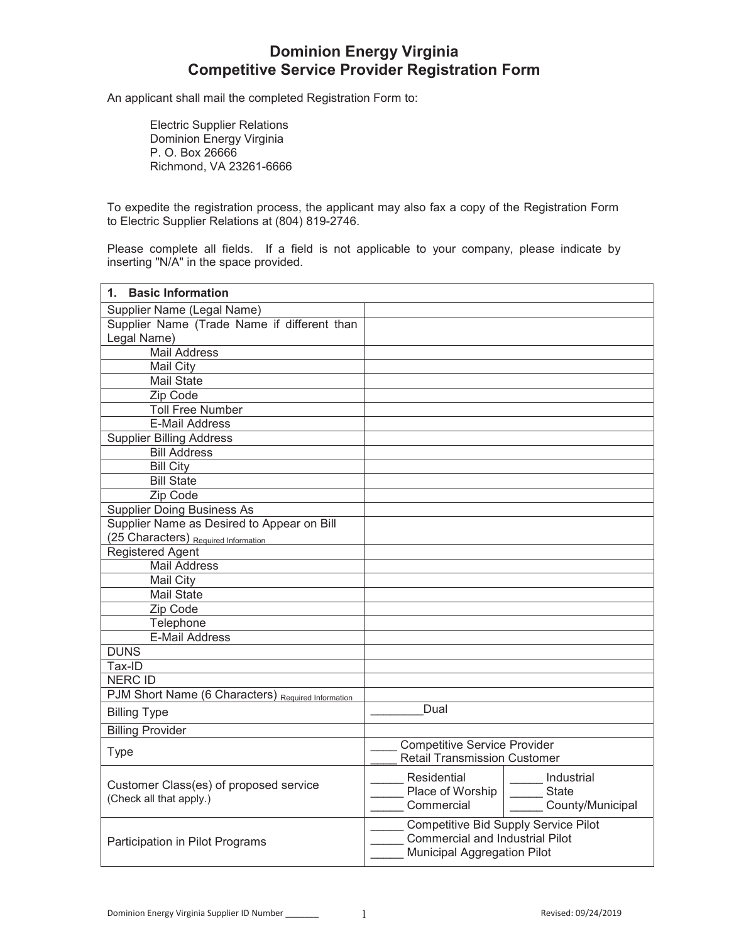# **Dominion Energy Virginia Competitive Service Provider Registration Form**

An applicant shall mail the completed Registration Form to:

Electric Supplier Relations Dominion Energy Virginia P. O. Box 26666 Richmond, VA 23261-6666

To expedite the registration process, the applicant may also fax a copy of the Registration Form to Electric Supplier Relations at (804) 819-2746.

Please complete all fields. If a field is not applicable to your company, please indicate by inserting "N/A" in the space provided.

| <b>Basic Information</b><br>1.                     |                                             |                  |
|----------------------------------------------------|---------------------------------------------|------------------|
| Supplier Name (Legal Name)                         |                                             |                  |
| Supplier Name (Trade Name if different than        |                                             |                  |
| Legal Name)                                        |                                             |                  |
| <b>Mail Address</b>                                |                                             |                  |
| Mail City                                          |                                             |                  |
| <b>Mail State</b>                                  |                                             |                  |
| Zip Code                                           |                                             |                  |
| <b>Toll Free Number</b>                            |                                             |                  |
| <b>E-Mail Address</b>                              |                                             |                  |
| <b>Supplier Billing Address</b>                    |                                             |                  |
| <b>Bill Address</b>                                |                                             |                  |
| <b>Bill City</b>                                   |                                             |                  |
| <b>Bill State</b>                                  |                                             |                  |
| Zip Code                                           |                                             |                  |
| <b>Supplier Doing Business As</b>                  |                                             |                  |
| Supplier Name as Desired to Appear on Bill         |                                             |                  |
| (25 Characters) Required Information               |                                             |                  |
| <b>Registered Agent</b>                            |                                             |                  |
| <b>Mail Address</b>                                |                                             |                  |
| Mail City                                          |                                             |                  |
| <b>Mail State</b>                                  |                                             |                  |
| Zip Code                                           |                                             |                  |
| Telephone                                          |                                             |                  |
| <b>E-Mail Address</b>                              |                                             |                  |
| <b>DUNS</b>                                        |                                             |                  |
| Tax-ID                                             |                                             |                  |
| <b>NERC ID</b>                                     |                                             |                  |
| PJM Short Name (6 Characters) Required Information |                                             |                  |
| <b>Billing Type</b>                                | Dual                                        |                  |
| <b>Billing Provider</b>                            |                                             |                  |
|                                                    | <b>Competitive Service Provider</b>         |                  |
| Type                                               | <b>Retail Transmission Customer</b>         |                  |
|                                                    | Residential                                 | Industrial       |
| Customer Class(es) of proposed service             | Place of Worship                            | State            |
| (Check all that apply.)                            | Commercial                                  | County/Municipal |
|                                                    | <b>Competitive Bid Supply Service Pilot</b> |                  |
| Participation in Pilot Programs                    | <b>Commercial and Industrial Pilot</b>      |                  |
|                                                    | <b>Municipal Aggregation Pilot</b>          |                  |
|                                                    |                                             |                  |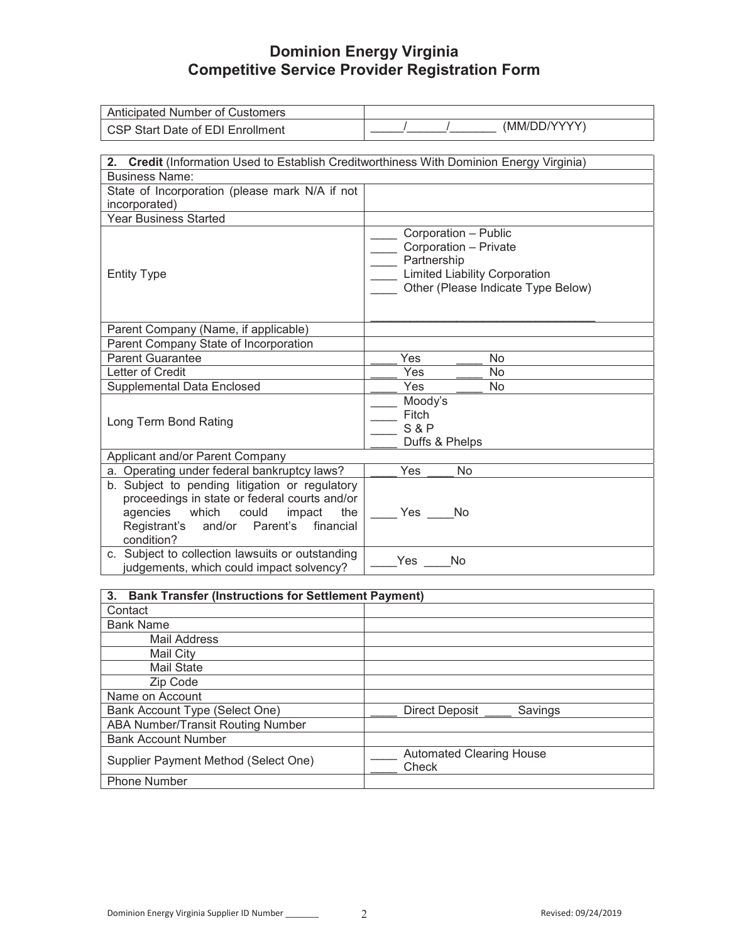## **Dominion Energy Virginia Competitive Service Provider Registration Form**

| Anticipated Number of Customers                                                                                   |                                          |  |  |
|-------------------------------------------------------------------------------------------------------------------|------------------------------------------|--|--|
| CSP Start Date of EDI Enrollment                                                                                  | (MM/DD/YYYY)                             |  |  |
|                                                                                                                   |                                          |  |  |
|                                                                                                                   |                                          |  |  |
| 2. Credit (Information Used to Establish Creditworthiness With Dominion Energy Virginia)<br><b>Business Name:</b> |                                          |  |  |
| State of Incorporation (please mark N/A if not                                                                    |                                          |  |  |
| incorporated)                                                                                                     |                                          |  |  |
| <b>Year Business Started</b>                                                                                      |                                          |  |  |
|                                                                                                                   | Corporation - Public                     |  |  |
|                                                                                                                   | Corporation - Private                    |  |  |
|                                                                                                                   | Partnership                              |  |  |
| <b>Entity Type</b>                                                                                                | <b>Limited Liability Corporation</b>     |  |  |
|                                                                                                                   | Other (Please Indicate Type Below)       |  |  |
|                                                                                                                   |                                          |  |  |
|                                                                                                                   |                                          |  |  |
| Parent Company (Name, if applicable)                                                                              |                                          |  |  |
| Parent Company State of Incorporation                                                                             |                                          |  |  |
| <b>Parent Guarantee</b>                                                                                           | Yes<br>No                                |  |  |
| Letter of Credit                                                                                                  | Yes<br>No                                |  |  |
| <b>Supplemental Data Enclosed</b>                                                                                 | Yes<br>No                                |  |  |
|                                                                                                                   | Moody's                                  |  |  |
| Long Term Bond Rating                                                                                             | Fitch                                    |  |  |
|                                                                                                                   | S & P                                    |  |  |
|                                                                                                                   | Duffs & Phelps                           |  |  |
| Applicant and/or Parent Company                                                                                   |                                          |  |  |
| a. Operating under federal bankruptcy laws?                                                                       | No<br>Yes                                |  |  |
| b. Subject to pending litigation or regulatory                                                                    |                                          |  |  |
| proceedings in state or federal courts and/or                                                                     |                                          |  |  |
| agencies which could<br>impact<br>the                                                                             | Yes No                                   |  |  |
| Registrant's<br>and/or<br>Parent's<br>financial                                                                   |                                          |  |  |
| condition?                                                                                                        |                                          |  |  |
| c. Subject to collection lawsuits or outstanding                                                                  | Yes<br>No                                |  |  |
| judgements, which could impact solvency?                                                                          |                                          |  |  |
| 3. Bank Transfer (Instructions for Settlement Payment)                                                            |                                          |  |  |
| Contact                                                                                                           |                                          |  |  |
| <b>Bank Name</b>                                                                                                  |                                          |  |  |
| <b>Mail Address</b>                                                                                               |                                          |  |  |
| Mail City                                                                                                         |                                          |  |  |
| Mail State                                                                                                        |                                          |  |  |
| Zip Code                                                                                                          |                                          |  |  |
| Name on Account                                                                                                   |                                          |  |  |
| Bank Account Type (Select One)                                                                                    | <b>Direct Deposit</b><br>Savings         |  |  |
| <b>ABA Number/Transit Routing Number</b>                                                                          |                                          |  |  |
| <b>Bank Account Number</b>                                                                                        |                                          |  |  |
|                                                                                                                   |                                          |  |  |
| Supplier Payment Method (Select One)                                                                              | <b>Automated Clearing House</b><br>Check |  |  |
| Phone Number                                                                                                      |                                          |  |  |